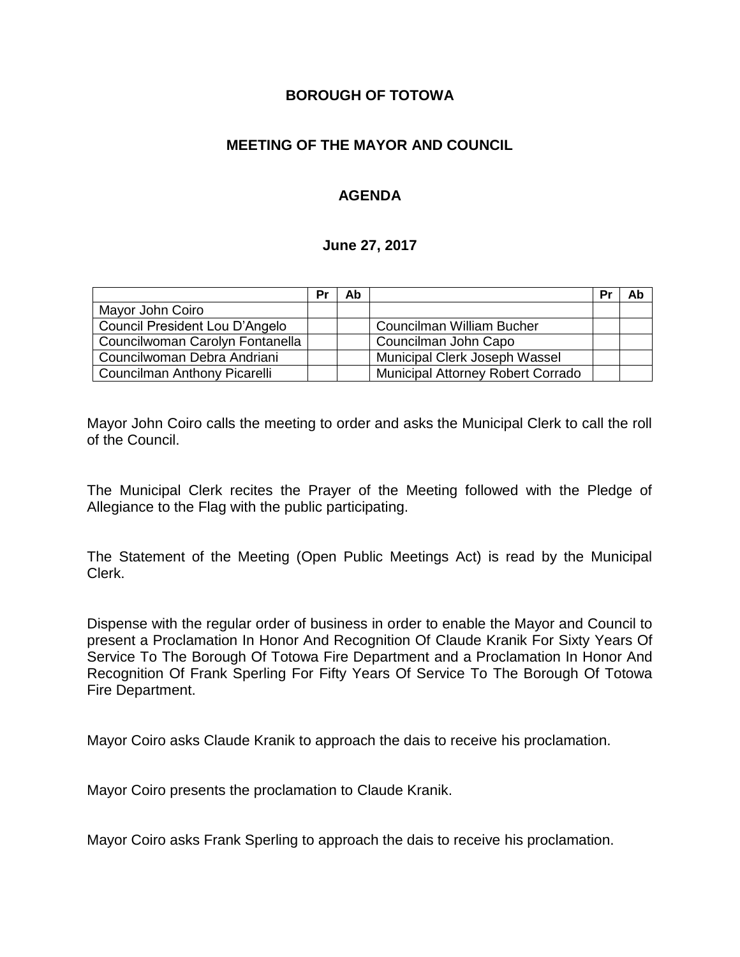#### **BOROUGH OF TOTOWA**

## **MEETING OF THE MAYOR AND COUNCIL**

## **AGENDA**

#### **June 27, 2017**

|                                 | Pr | Ab |                                          | Pr | Ab |
|---------------------------------|----|----|------------------------------------------|----|----|
| Mayor John Coiro                |    |    |                                          |    |    |
| Council President Lou D'Angelo  |    |    | <b>Councilman William Bucher</b>         |    |    |
| Councilwoman Carolyn Fontanella |    |    | Councilman John Capo                     |    |    |
| Councilwoman Debra Andriani     |    |    | Municipal Clerk Joseph Wassel            |    |    |
| Councilman Anthony Picarelli    |    |    | <b>Municipal Attorney Robert Corrado</b> |    |    |

Mayor John Coiro calls the meeting to order and asks the Municipal Clerk to call the roll of the Council.

The Municipal Clerk recites the Prayer of the Meeting followed with the Pledge of Allegiance to the Flag with the public participating.

The Statement of the Meeting (Open Public Meetings Act) is read by the Municipal Clerk.

Dispense with the regular order of business in order to enable the Mayor and Council to present a Proclamation In Honor And Recognition Of Claude Kranik For Sixty Years Of Service To The Borough Of Totowa Fire Department and a Proclamation In Honor And Recognition Of Frank Sperling For Fifty Years Of Service To The Borough Of Totowa Fire Department.

Mayor Coiro asks Claude Kranik to approach the dais to receive his proclamation.

Mayor Coiro presents the proclamation to Claude Kranik.

Mayor Coiro asks Frank Sperling to approach the dais to receive his proclamation.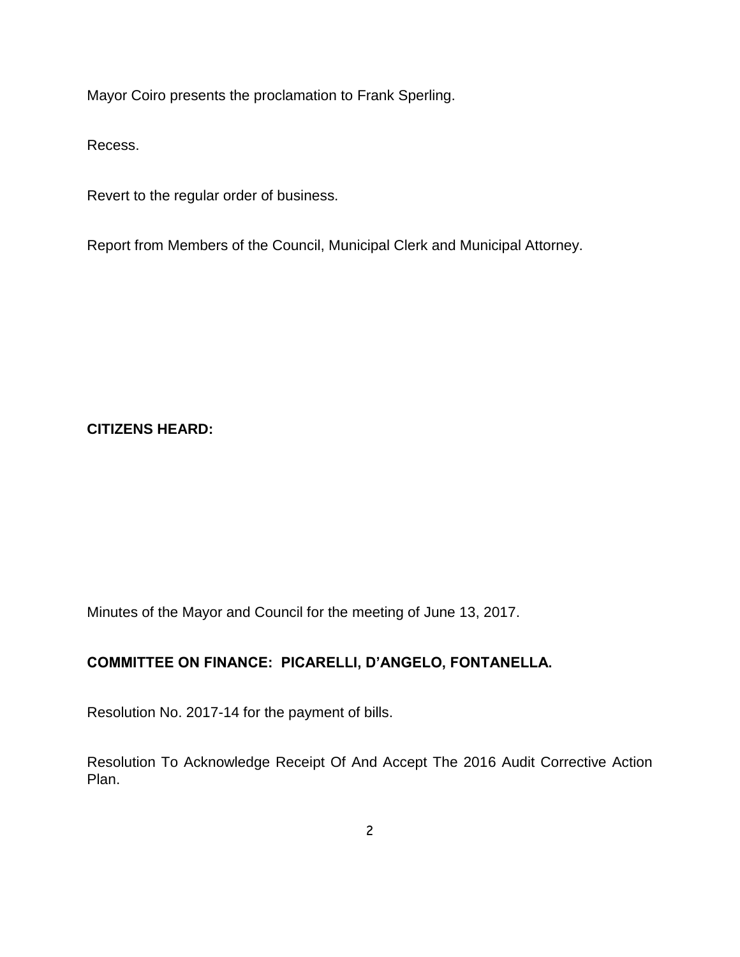Mayor Coiro presents the proclamation to Frank Sperling.

Recess.

Revert to the regular order of business.

Report from Members of the Council, Municipal Clerk and Municipal Attorney.

#### **CITIZENS HEARD:**

Minutes of the Mayor and Council for the meeting of June 13, 2017.

# **COMMITTEE ON FINANCE: PICARELLI, D'ANGELO, FONTANELLA.**

Resolution No. 2017-14 for the payment of bills.

Resolution To Acknowledge Receipt Of And Accept The 2016 Audit Corrective Action Plan.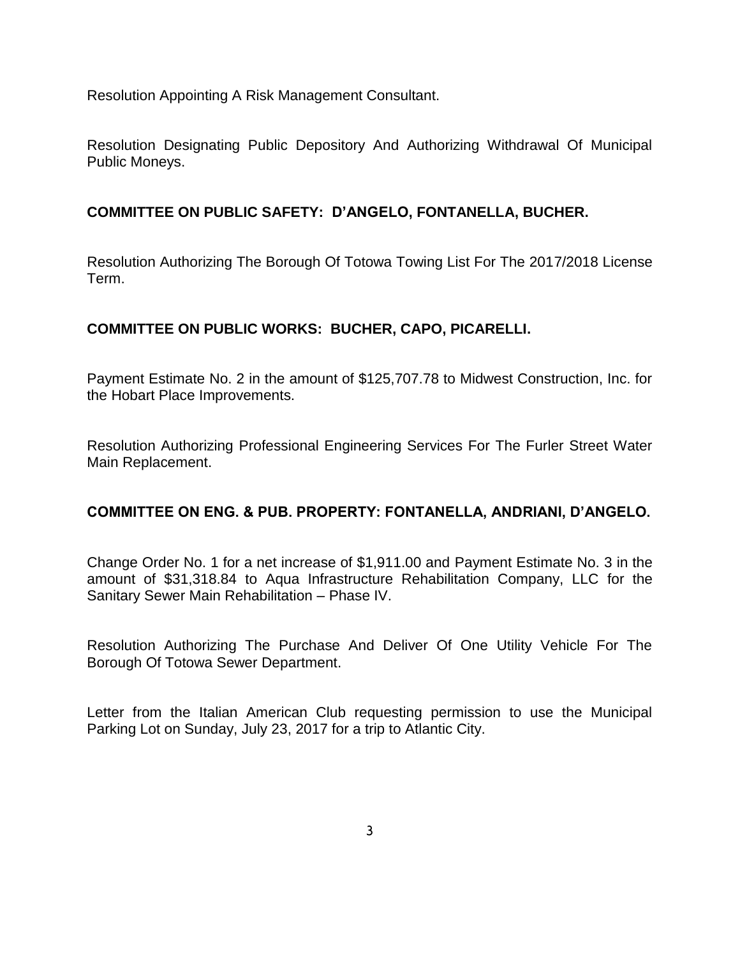Resolution Appointing A Risk Management Consultant.

Resolution Designating Public Depository And Authorizing Withdrawal Of Municipal Public Moneys.

#### **COMMITTEE ON PUBLIC SAFETY: D'ANGELO, FONTANELLA, BUCHER.**

Resolution Authorizing The Borough Of Totowa Towing List For The 2017/2018 License Term.

#### **COMMITTEE ON PUBLIC WORKS: BUCHER, CAPO, PICARELLI.**

Payment Estimate No. 2 in the amount of \$125,707.78 to Midwest Construction, Inc. for the Hobart Place Improvements.

Resolution Authorizing Professional Engineering Services For The Furler Street Water Main Replacement.

#### **COMMITTEE ON ENG. & PUB. PROPERTY: FONTANELLA, ANDRIANI, D'ANGELO.**

Change Order No. 1 for a net increase of \$1,911.00 and Payment Estimate No. 3 in the amount of \$31,318.84 to Aqua Infrastructure Rehabilitation Company, LLC for the Sanitary Sewer Main Rehabilitation – Phase IV.

Resolution Authorizing The Purchase And Deliver Of One Utility Vehicle For The Borough Of Totowa Sewer Department.

Letter from the Italian American Club requesting permission to use the Municipal Parking Lot on Sunday, July 23, 2017 for a trip to Atlantic City.